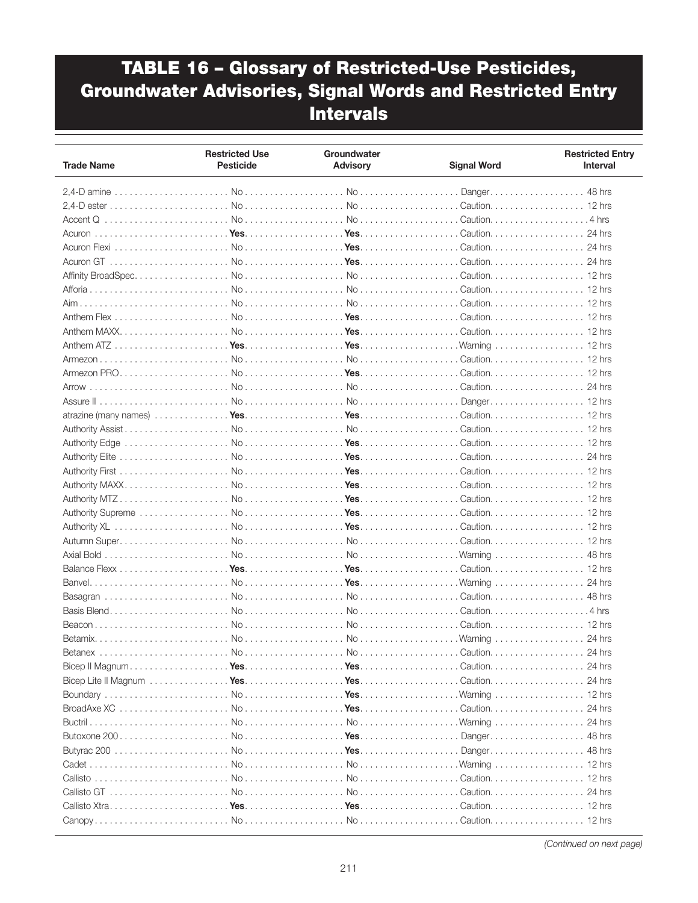| <b>Trade Name</b> | <b>Restricted Use</b><br><b>Pesticide</b> | Groundwater<br><b>Advisory</b> | <b>Signal Word</b> | <b>Restricted Entry</b><br><b>Interval</b> |
|-------------------|-------------------------------------------|--------------------------------|--------------------|--------------------------------------------|
|                   |                                           |                                |                    |                                            |
|                   |                                           |                                |                    |                                            |
|                   |                                           |                                |                    | $.4$ hrs                                   |
|                   |                                           |                                |                    | 24 hrs                                     |
|                   |                                           |                                |                    | 24 hrs                                     |
|                   |                                           |                                |                    |                                            |
|                   |                                           |                                |                    | 24 hrs                                     |
|                   |                                           |                                |                    |                                            |
|                   |                                           |                                |                    |                                            |
|                   |                                           |                                |                    |                                            |
|                   |                                           |                                |                    |                                            |
|                   |                                           |                                |                    |                                            |
|                   |                                           |                                |                    |                                            |
|                   |                                           |                                |                    |                                            |
|                   |                                           |                                |                    |                                            |
|                   |                                           |                                |                    |                                            |
|                   |                                           |                                |                    |                                            |
|                   |                                           |                                |                    |                                            |
|                   |                                           |                                |                    |                                            |
|                   |                                           |                                |                    |                                            |
|                   |                                           |                                |                    |                                            |
|                   |                                           |                                |                    |                                            |
|                   |                                           |                                |                    |                                            |
|                   |                                           |                                |                    |                                            |
|                   |                                           |                                |                    |                                            |
|                   |                                           |                                |                    |                                            |
|                   |                                           |                                |                    |                                            |
|                   |                                           |                                |                    | 48 hrs                                     |
|                   |                                           |                                |                    |                                            |
|                   |                                           |                                | . Warning          | 24 hrs                                     |
|                   |                                           |                                |                    | 48 hrs                                     |
|                   |                                           |                                |                    |                                            |
|                   |                                           |                                |                    |                                            |
|                   |                                           |                                |                    | 24 hrs                                     |
| <b>Betanex</b>    | No.                                       | No                             | Caution.           | 24 hrs                                     |
|                   |                                           |                                |                    |                                            |
|                   |                                           |                                |                    |                                            |
|                   |                                           |                                |                    |                                            |
|                   |                                           |                                |                    |                                            |
|                   |                                           |                                |                    | 24 hrs                                     |
|                   |                                           |                                |                    | 48 hrs                                     |
|                   |                                           |                                |                    |                                            |
|                   |                                           |                                |                    |                                            |
|                   |                                           |                                |                    |                                            |
|                   |                                           |                                |                    |                                            |
|                   |                                           |                                |                    |                                            |
|                   |                                           |                                |                    |                                            |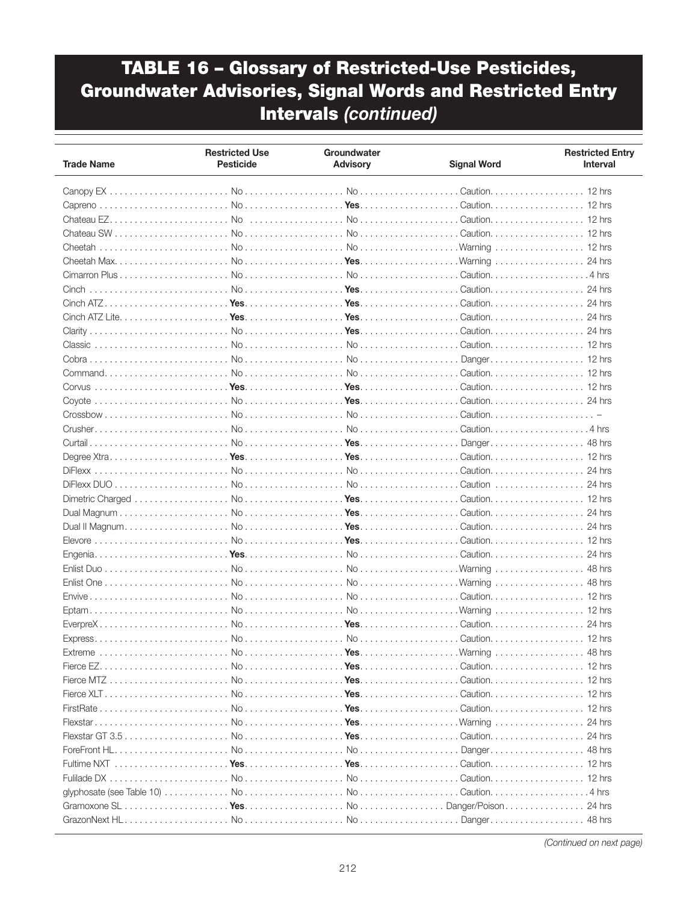| <b>Trade Name</b>                                                                                                                                                                                       | <b>Restricted Use</b><br><b>Pesticide</b> | Groundwater<br><b>Advisory</b> | <b>Signal Word</b> | <b>Restricted Entry</b><br>Interval |
|---------------------------------------------------------------------------------------------------------------------------------------------------------------------------------------------------------|-------------------------------------------|--------------------------------|--------------------|-------------------------------------|
|                                                                                                                                                                                                         |                                           |                                |                    |                                     |
|                                                                                                                                                                                                         |                                           |                                |                    |                                     |
| Chateau $EZ$ , $\ldots$ , $\ldots$ , $\ldots$ , $\ldots$ , $\ldots$ , $\ldots$ , $\ldots$ , $\ldots$ , $\ldots$ , $\ldots$ , $\ldots$ , $\ldots$ , $\ldots$ , $\ldots$ , $\ldots$ , $\ldots$ , $\ldots$ |                                           |                                | Caution            | $12$ hrs                            |
|                                                                                                                                                                                                         |                                           |                                |                    |                                     |
|                                                                                                                                                                                                         |                                           |                                |                    |                                     |
|                                                                                                                                                                                                         |                                           |                                |                    |                                     |
|                                                                                                                                                                                                         |                                           |                                |                    |                                     |
|                                                                                                                                                                                                         |                                           |                                |                    |                                     |
|                                                                                                                                                                                                         |                                           |                                |                    |                                     |
|                                                                                                                                                                                                         |                                           |                                |                    |                                     |
|                                                                                                                                                                                                         |                                           |                                |                    |                                     |
|                                                                                                                                                                                                         |                                           |                                |                    |                                     |
|                                                                                                                                                                                                         |                                           |                                |                    |                                     |
|                                                                                                                                                                                                         |                                           |                                |                    |                                     |
|                                                                                                                                                                                                         |                                           |                                |                    |                                     |
|                                                                                                                                                                                                         |                                           |                                |                    | Caution. 12 hrs                     |
|                                                                                                                                                                                                         |                                           |                                |                    |                                     |
|                                                                                                                                                                                                         |                                           |                                |                    |                                     |
|                                                                                                                                                                                                         |                                           |                                |                    |                                     |
|                                                                                                                                                                                                         |                                           |                                |                    |                                     |
|                                                                                                                                                                                                         |                                           |                                |                    |                                     |
|                                                                                                                                                                                                         |                                           |                                |                    |                                     |
|                                                                                                                                                                                                         |                                           |                                | Caution            | $24$ hrs                            |
|                                                                                                                                                                                                         |                                           |                                |                    |                                     |
|                                                                                                                                                                                                         |                                           |                                |                    | 24 hrs                              |
|                                                                                                                                                                                                         |                                           |                                |                    | 24 hrs                              |
|                                                                                                                                                                                                         |                                           |                                | Caution.           | $12$ hrs                            |
|                                                                                                                                                                                                         |                                           |                                | . Caution.         | 24 hrs                              |
|                                                                                                                                                                                                         |                                           |                                |                    | 48 hrs                              |
|                                                                                                                                                                                                         |                                           |                                |                    | 48 hrs                              |
|                                                                                                                                                                                                         |                                           |                                |                    |                                     |
|                                                                                                                                                                                                         |                                           |                                |                    |                                     |
|                                                                                                                                                                                                         |                                           |                                |                    |                                     |
|                                                                                                                                                                                                         |                                           |                                |                    |                                     |
| Extreme                                                                                                                                                                                                 | No                                        | . <b>Yes</b>                   | Warning            | 48 hrs                              |
|                                                                                                                                                                                                         |                                           |                                |                    |                                     |
|                                                                                                                                                                                                         |                                           |                                |                    |                                     |
|                                                                                                                                                                                                         |                                           |                                |                    |                                     |
|                                                                                                                                                                                                         |                                           |                                |                    |                                     |
|                                                                                                                                                                                                         |                                           |                                |                    |                                     |
|                                                                                                                                                                                                         |                                           |                                |                    |                                     |
|                                                                                                                                                                                                         |                                           |                                |                    |                                     |
|                                                                                                                                                                                                         |                                           |                                |                    |                                     |
|                                                                                                                                                                                                         |                                           |                                |                    |                                     |
|                                                                                                                                                                                                         |                                           |                                |                    |                                     |
|                                                                                                                                                                                                         |                                           |                                |                    |                                     |
|                                                                                                                                                                                                         |                                           |                                |                    |                                     |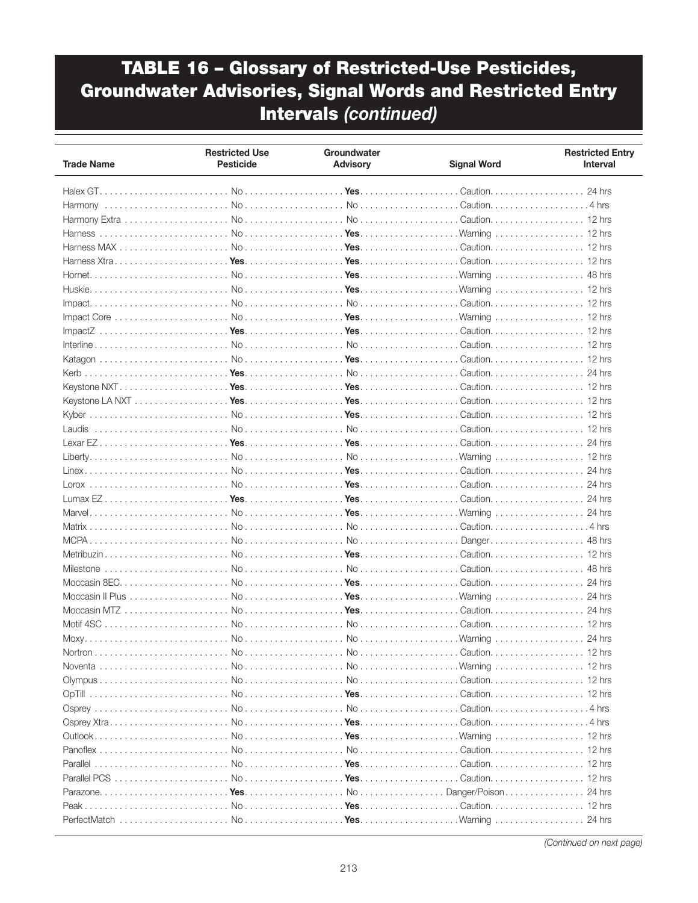| <b>Trade Name</b>                                                                                                                                                                                                                                                                                                                                                                                                           | <b>Restricted Use</b><br><b>Pesticide</b> | Groundwater<br><b>Advisory</b> | <b>Signal Word</b> | <b>Restricted Entry</b><br><b>Interval</b> |
|-----------------------------------------------------------------------------------------------------------------------------------------------------------------------------------------------------------------------------------------------------------------------------------------------------------------------------------------------------------------------------------------------------------------------------|-------------------------------------------|--------------------------------|--------------------|--------------------------------------------|
|                                                                                                                                                                                                                                                                                                                                                                                                                             |                                           |                                |                    |                                            |
|                                                                                                                                                                                                                                                                                                                                                                                                                             |                                           |                                |                    |                                            |
|                                                                                                                                                                                                                                                                                                                                                                                                                             |                                           |                                |                    |                                            |
|                                                                                                                                                                                                                                                                                                                                                                                                                             |                                           |                                |                    |                                            |
|                                                                                                                                                                                                                                                                                                                                                                                                                             |                                           |                                |                    |                                            |
|                                                                                                                                                                                                                                                                                                                                                                                                                             |                                           |                                |                    |                                            |
|                                                                                                                                                                                                                                                                                                                                                                                                                             |                                           |                                |                    |                                            |
|                                                                                                                                                                                                                                                                                                                                                                                                                             |                                           |                                |                    |                                            |
|                                                                                                                                                                                                                                                                                                                                                                                                                             |                                           |                                |                    |                                            |
|                                                                                                                                                                                                                                                                                                                                                                                                                             |                                           |                                |                    |                                            |
|                                                                                                                                                                                                                                                                                                                                                                                                                             |                                           |                                |                    |                                            |
| $Image (Z_1, \ldots, Z_n, \ldots, Z_n, \ldots, Z_n, \ldots, Z_n, \ldots, Z_n, \ldots, Z_n, \ldots, Z_n, \ldots, Z_n, \ldots, Z_n, \ldots, Z_n, \ldots, Z_n, \ldots, Z_n, \ldots, Z_n, \ldots, Z_n, \ldots, Z_n, \ldots, Z_n, \ldots, Z_n, \ldots, Z_n, \ldots, Z_n, \ldots, Z_n, \ldots, Z_n, \ldots, Z_n, \ldots, Z_n, \ldots, Z_n, \ldots, Z_n, \ldots, Z_n, \ldots, Z_n, \ldots, Z_n, \ldots, Z_n, \ldots, Z_n, \ldots,$ |                                           |                                |                    |                                            |
|                                                                                                                                                                                                                                                                                                                                                                                                                             |                                           |                                |                    |                                            |
|                                                                                                                                                                                                                                                                                                                                                                                                                             |                                           |                                |                    |                                            |
|                                                                                                                                                                                                                                                                                                                                                                                                                             |                                           |                                |                    |                                            |
|                                                                                                                                                                                                                                                                                                                                                                                                                             |                                           |                                |                    |                                            |
|                                                                                                                                                                                                                                                                                                                                                                                                                             |                                           |                                |                    |                                            |
|                                                                                                                                                                                                                                                                                                                                                                                                                             |                                           |                                |                    |                                            |
|                                                                                                                                                                                                                                                                                                                                                                                                                             |                                           |                                |                    |                                            |
|                                                                                                                                                                                                                                                                                                                                                                                                                             |                                           |                                |                    |                                            |
|                                                                                                                                                                                                                                                                                                                                                                                                                             |                                           |                                |                    |                                            |
|                                                                                                                                                                                                                                                                                                                                                                                                                             |                                           |                                |                    |                                            |
|                                                                                                                                                                                                                                                                                                                                                                                                                             |                                           |                                |                    |                                            |
|                                                                                                                                                                                                                                                                                                                                                                                                                             |                                           |                                |                    |                                            |
|                                                                                                                                                                                                                                                                                                                                                                                                                             |                                           |                                |                    | 24 hrs                                     |
|                                                                                                                                                                                                                                                                                                                                                                                                                             |                                           |                                |                    |                                            |
|                                                                                                                                                                                                                                                                                                                                                                                                                             |                                           |                                |                    | 48 hrs                                     |
|                                                                                                                                                                                                                                                                                                                                                                                                                             |                                           |                                |                    |                                            |
|                                                                                                                                                                                                                                                                                                                                                                                                                             |                                           |                                |                    | 48 hrs                                     |
|                                                                                                                                                                                                                                                                                                                                                                                                                             |                                           |                                |                    | 24 hrs                                     |
|                                                                                                                                                                                                                                                                                                                                                                                                                             |                                           |                                |                    | 24 hrs                                     |
|                                                                                                                                                                                                                                                                                                                                                                                                                             |                                           |                                |                    | 24 hrs                                     |
|                                                                                                                                                                                                                                                                                                                                                                                                                             |                                           |                                |                    |                                            |
|                                                                                                                                                                                                                                                                                                                                                                                                                             |                                           |                                |                    |                                            |
|                                                                                                                                                                                                                                                                                                                                                                                                                             |                                           |                                |                    | 24 hrs                                     |
| Nortron                                                                                                                                                                                                                                                                                                                                                                                                                     | N <sub>0</sub>                            | $N_{\Omega}$                   | Caution.           | $12$ hrs                                   |
|                                                                                                                                                                                                                                                                                                                                                                                                                             |                                           |                                |                    |                                            |
|                                                                                                                                                                                                                                                                                                                                                                                                                             |                                           |                                |                    |                                            |
|                                                                                                                                                                                                                                                                                                                                                                                                                             |                                           |                                |                    |                                            |
|                                                                                                                                                                                                                                                                                                                                                                                                                             |                                           |                                |                    |                                            |
|                                                                                                                                                                                                                                                                                                                                                                                                                             |                                           |                                |                    |                                            |
|                                                                                                                                                                                                                                                                                                                                                                                                                             |                                           |                                |                    |                                            |
|                                                                                                                                                                                                                                                                                                                                                                                                                             |                                           |                                |                    |                                            |
|                                                                                                                                                                                                                                                                                                                                                                                                                             |                                           |                                |                    |                                            |
|                                                                                                                                                                                                                                                                                                                                                                                                                             |                                           |                                |                    |                                            |
|                                                                                                                                                                                                                                                                                                                                                                                                                             |                                           |                                |                    |                                            |
|                                                                                                                                                                                                                                                                                                                                                                                                                             |                                           |                                |                    |                                            |
|                                                                                                                                                                                                                                                                                                                                                                                                                             |                                           |                                |                    |                                            |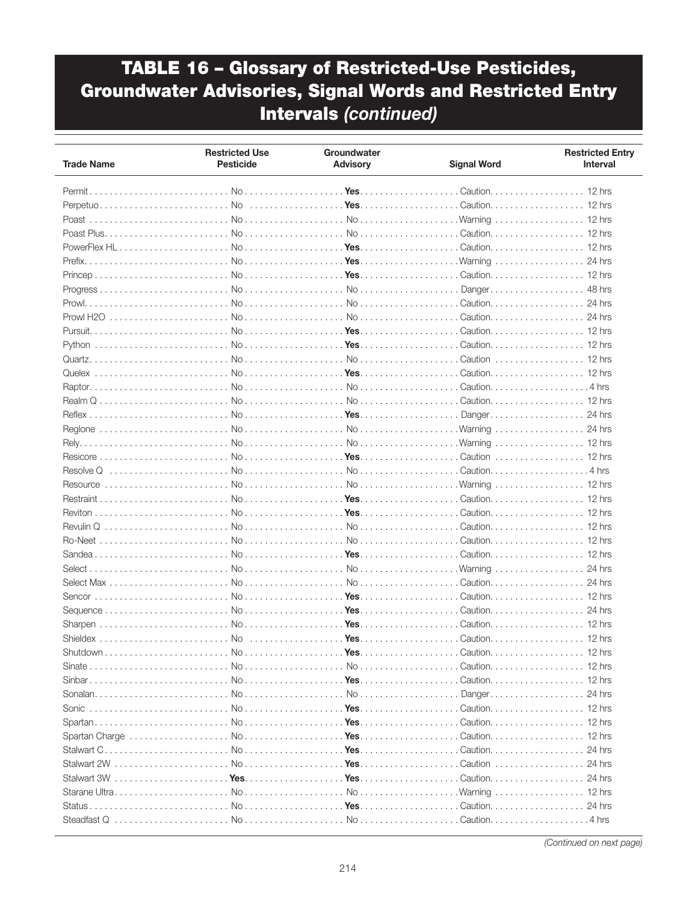| Caution. 12 hrs<br>12 hrs<br>24 hrs<br>48 hrs<br>24 hrs<br>24 hrs<br>24 hrs<br>12 hrs<br>24 hrs<br>Yes<br>Shutdown<br>N <sub>0</sub><br>Caution<br>$12$ hrs | <b>Trade Name</b> | <b>Restricted Use</b><br><b>Pesticide</b> | Groundwater<br><b>Advisory</b> | <b>Signal Word</b> | <b>Restricted Entry</b><br><b>Interval</b> |
|-------------------------------------------------------------------------------------------------------------------------------------------------------------|-------------------|-------------------------------------------|--------------------------------|--------------------|--------------------------------------------|
|                                                                                                                                                             |                   |                                           |                                |                    |                                            |
|                                                                                                                                                             |                   |                                           |                                |                    |                                            |
|                                                                                                                                                             |                   |                                           |                                |                    |                                            |
|                                                                                                                                                             |                   |                                           |                                |                    |                                            |
|                                                                                                                                                             |                   |                                           |                                |                    |                                            |
|                                                                                                                                                             |                   |                                           |                                |                    |                                            |
|                                                                                                                                                             |                   |                                           |                                |                    |                                            |
|                                                                                                                                                             |                   |                                           |                                |                    |                                            |
|                                                                                                                                                             |                   |                                           |                                |                    |                                            |
|                                                                                                                                                             |                   |                                           |                                |                    |                                            |
|                                                                                                                                                             |                   |                                           |                                |                    |                                            |
|                                                                                                                                                             |                   |                                           |                                |                    |                                            |
|                                                                                                                                                             |                   |                                           |                                |                    |                                            |
|                                                                                                                                                             |                   |                                           |                                |                    |                                            |
|                                                                                                                                                             |                   |                                           |                                |                    |                                            |
|                                                                                                                                                             |                   |                                           |                                |                    |                                            |
|                                                                                                                                                             |                   |                                           |                                |                    |                                            |
|                                                                                                                                                             |                   |                                           |                                |                    |                                            |
|                                                                                                                                                             |                   |                                           |                                |                    |                                            |
|                                                                                                                                                             |                   |                                           |                                |                    |                                            |
|                                                                                                                                                             |                   |                                           |                                |                    |                                            |
|                                                                                                                                                             |                   |                                           |                                |                    |                                            |
|                                                                                                                                                             |                   |                                           |                                |                    |                                            |
|                                                                                                                                                             |                   |                                           |                                |                    |                                            |
|                                                                                                                                                             |                   |                                           |                                |                    |                                            |
|                                                                                                                                                             |                   |                                           |                                |                    |                                            |
|                                                                                                                                                             |                   |                                           |                                |                    |                                            |
|                                                                                                                                                             |                   |                                           |                                |                    |                                            |
|                                                                                                                                                             |                   |                                           |                                |                    |                                            |
|                                                                                                                                                             |                   |                                           |                                |                    |                                            |
|                                                                                                                                                             |                   |                                           |                                |                    |                                            |
|                                                                                                                                                             |                   |                                           |                                |                    |                                            |
|                                                                                                                                                             |                   |                                           |                                |                    |                                            |
|                                                                                                                                                             |                   |                                           |                                |                    |                                            |
|                                                                                                                                                             |                   |                                           |                                |                    |                                            |
|                                                                                                                                                             |                   |                                           |                                |                    |                                            |
|                                                                                                                                                             |                   |                                           |                                |                    |                                            |
|                                                                                                                                                             |                   |                                           |                                |                    |                                            |
|                                                                                                                                                             |                   |                                           |                                |                    |                                            |
|                                                                                                                                                             |                   |                                           |                                |                    |                                            |
|                                                                                                                                                             |                   |                                           |                                |                    |                                            |
|                                                                                                                                                             |                   |                                           |                                |                    |                                            |
|                                                                                                                                                             |                   |                                           |                                |                    |                                            |
|                                                                                                                                                             |                   |                                           |                                |                    |                                            |
|                                                                                                                                                             |                   |                                           |                                |                    |                                            |
|                                                                                                                                                             |                   |                                           |                                |                    |                                            |
|                                                                                                                                                             |                   |                                           |                                |                    |                                            |